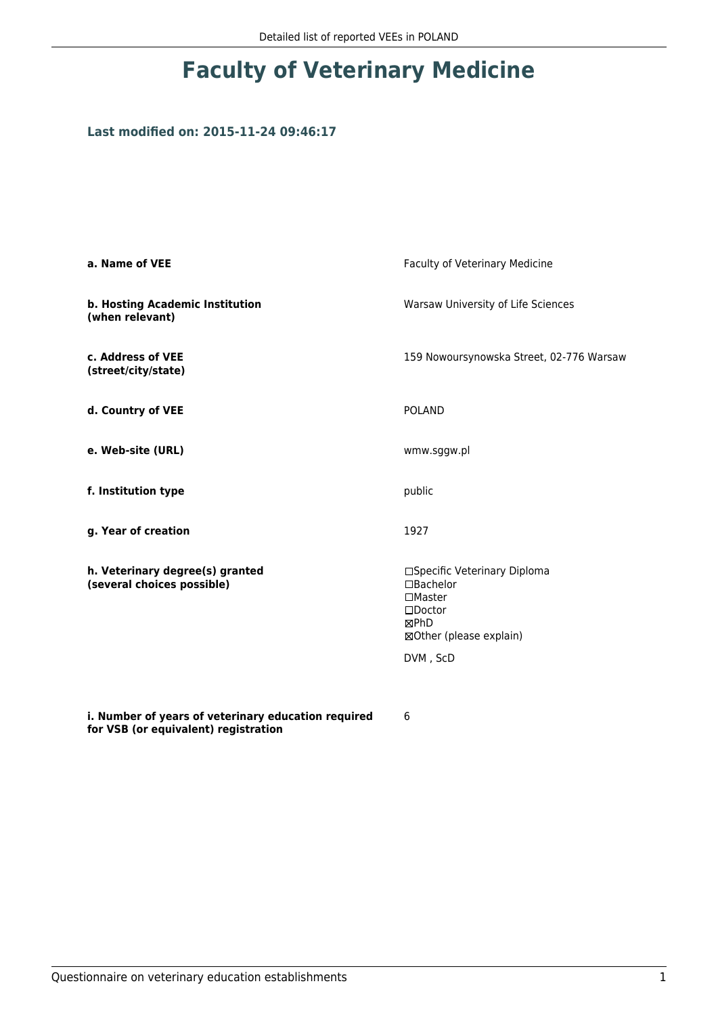### **Last modified on: 2015-11-24 09:46:17**

| a. Name of VEE                                                | Faculty of Veterinary Medicine                                                                                             |
|---------------------------------------------------------------|----------------------------------------------------------------------------------------------------------------------------|
| b. Hosting Academic Institution<br>(when relevant)            | Warsaw University of Life Sciences                                                                                         |
| c. Address of VEE<br>(street/city/state)                      | 159 Nowoursynowska Street, 02-776 Warsaw                                                                                   |
| d. Country of VEE                                             | <b>POLAND</b>                                                                                                              |
| e. Web-site (URL)                                             | wmw.sggw.pl                                                                                                                |
| f. Institution type                                           | public                                                                                                                     |
| g. Year of creation                                           | 1927                                                                                                                       |
| h. Veterinary degree(s) granted<br>(several choices possible) | □Specific Veterinary Diploma<br>$\Box$ Bachelor<br>$\square$ Master<br>$\square$ Doctor<br>⊠PhD<br>⊠Other (please explain) |
|                                                               | DVM, ScD                                                                                                                   |
| i. Number of years of veterinary education required           | 6                                                                                                                          |

**for VSB (or equivalent) registration**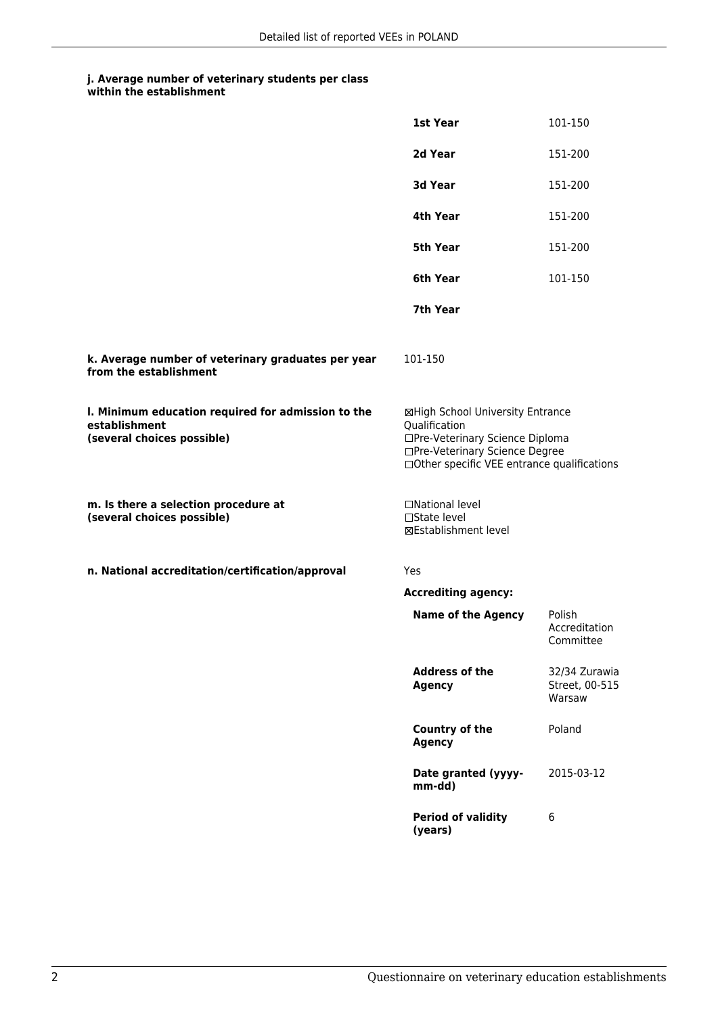| within the establishment |
|--------------------------|
|                          |

|                                                                                                   | 1st Year                                                                                                                                                              | 101-150                                   |
|---------------------------------------------------------------------------------------------------|-----------------------------------------------------------------------------------------------------------------------------------------------------------------------|-------------------------------------------|
|                                                                                                   | 2d Year                                                                                                                                                               | 151-200                                   |
|                                                                                                   | 3d Year                                                                                                                                                               | 151-200                                   |
|                                                                                                   | 4th Year                                                                                                                                                              | 151-200                                   |
|                                                                                                   | 5th Year                                                                                                                                                              | 151-200                                   |
|                                                                                                   | 6th Year                                                                                                                                                              | 101-150                                   |
|                                                                                                   | 7th Year                                                                                                                                                              |                                           |
| k. Average number of veterinary graduates per year<br>from the establishment                      | 101-150                                                                                                                                                               |                                           |
| I. Minimum education required for admission to the<br>establishment<br>(several choices possible) | ⊠High School University Entrance<br>Qualification<br>□Pre-Veterinary Science Diploma<br>□Pre-Veterinary Science Degree<br>□Other specific VEE entrance qualifications |                                           |
| m. Is there a selection procedure at<br>(several choices possible)                                | □National level<br>□State level<br><b>⊠Establishment level</b>                                                                                                        |                                           |
| n. National accreditation/certification/approval                                                  | Yes                                                                                                                                                                   |                                           |
|                                                                                                   | <b>Accrediting agency:</b>                                                                                                                                            |                                           |
|                                                                                                   | <b>Name of the Agency</b>                                                                                                                                             | Polish<br>Accreditation<br>Committee      |
|                                                                                                   | <b>Address of the</b><br><b>Agency</b>                                                                                                                                | 32/34 Zurawia<br>Street, 00-515<br>Warsaw |
|                                                                                                   | Country of the<br><b>Agency</b>                                                                                                                                       | Poland                                    |
|                                                                                                   | Date granted (yyyy-<br>mm-dd)                                                                                                                                         | 2015-03-12                                |
|                                                                                                   | <b>Period of validity</b><br>(years)                                                                                                                                  | 6                                         |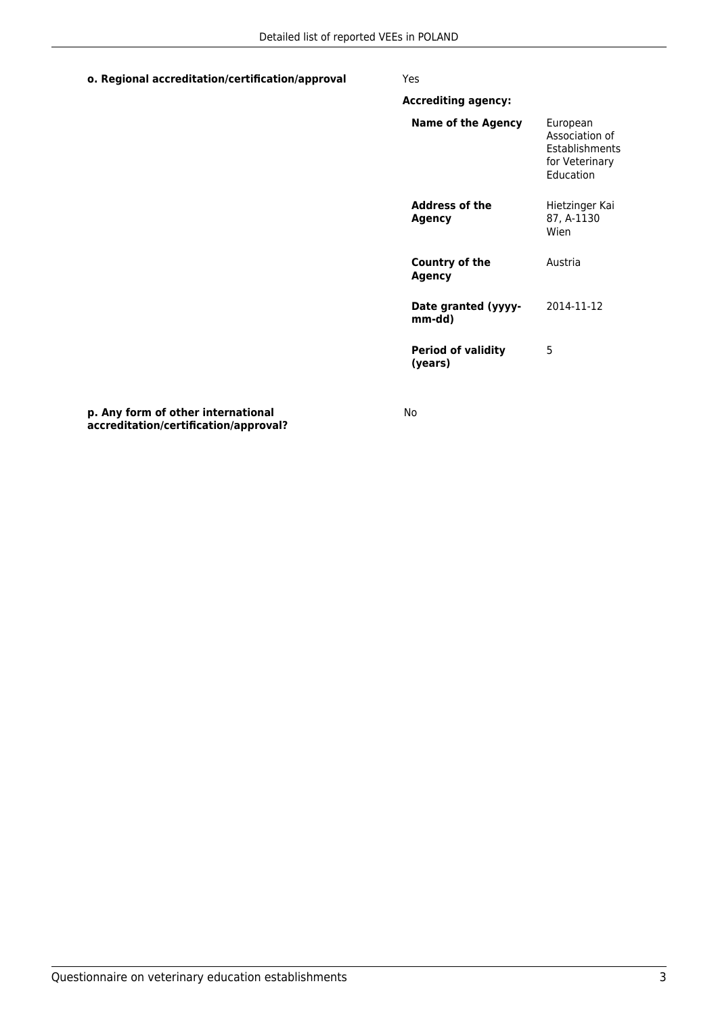#### **o. Regional accreditation/certification/approval** Yes

| <b>Accrediting agency:</b>           |                                                                                           |
|--------------------------------------|-------------------------------------------------------------------------------------------|
| Name of the Agency                   | European<br>Association of<br><b>Fstablishments</b><br>for Veterinary<br><b>Education</b> |
| <b>Address of the</b><br>Agency      | Hietzinger Kai<br>87, A-1130<br>Wien                                                      |
| <b>Country of the</b><br>Agency      | Austria                                                                                   |
| Date granted (yyyy-<br>mm-dd)        | 2014-11-12                                                                                |
| <b>Period of validity</b><br>(years) | 5                                                                                         |

**p. Any form of other international accreditation/certification/approval?**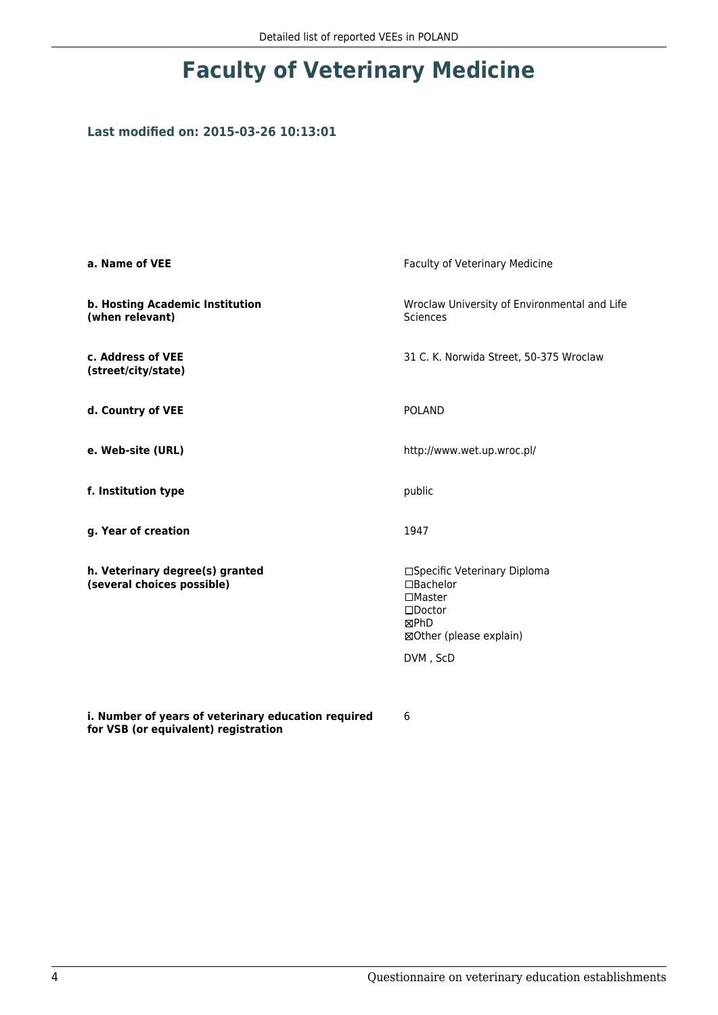### **Last modified on: 2015-03-26 10:13:01**

| a. Name of VEE                                                                              | Faculty of Veterinary Medicine                                                                                                      |
|---------------------------------------------------------------------------------------------|-------------------------------------------------------------------------------------------------------------------------------------|
| b. Hosting Academic Institution<br>(when relevant)                                          | Wroclaw University of Environmental and Life<br>Sciences                                                                            |
| c. Address of VEE<br>(street/city/state)                                                    | 31 C. K. Norwida Street, 50-375 Wroclaw                                                                                             |
| d. Country of VEE                                                                           | <b>POLAND</b>                                                                                                                       |
| e. Web-site (URL)                                                                           | http://www.wet.up.wroc.pl/                                                                                                          |
| f. Institution type                                                                         | public                                                                                                                              |
| g. Year of creation                                                                         | 1947                                                                                                                                |
| h. Veterinary degree(s) granted<br>(several choices possible)                               | □Specific Veterinary Diploma<br>$\Box$ Bachelor<br>$\Box$ Master<br>$\square$ Doctor<br>⊠PhD<br>⊠Other (please explain)<br>DVM, ScD |
|                                                                                             |                                                                                                                                     |
| i. Number of years of veterinary education required<br>for VSB (or equivalent) registration | 6                                                                                                                                   |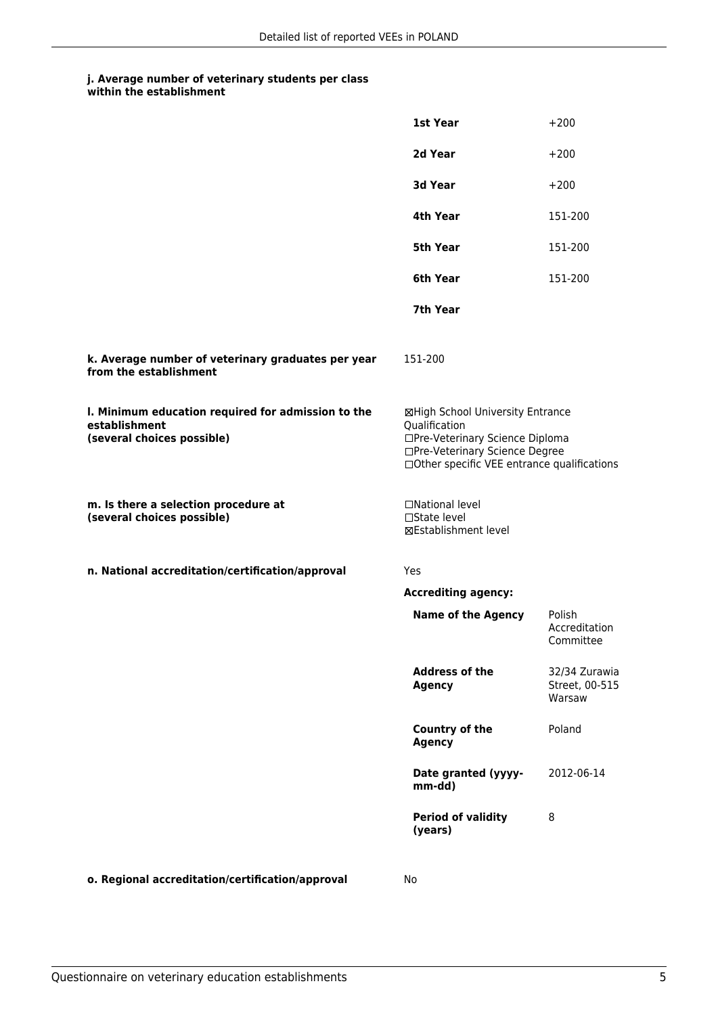| within the establishment |
|--------------------------|
|                          |

|                                                                                                   | 1st Year                                                                                                                                                              | $+200$                                    |
|---------------------------------------------------------------------------------------------------|-----------------------------------------------------------------------------------------------------------------------------------------------------------------------|-------------------------------------------|
|                                                                                                   | 2d Year                                                                                                                                                               | $+200$                                    |
|                                                                                                   | 3d Year                                                                                                                                                               | $+200$                                    |
|                                                                                                   | 4th Year                                                                                                                                                              | 151-200                                   |
|                                                                                                   | 5th Year                                                                                                                                                              | 151-200                                   |
|                                                                                                   | 6th Year                                                                                                                                                              | 151-200                                   |
|                                                                                                   | 7th Year                                                                                                                                                              |                                           |
| k. Average number of veterinary graduates per year<br>from the establishment                      | 151-200                                                                                                                                                               |                                           |
| I. Minimum education required for admission to the<br>establishment<br>(several choices possible) | ⊠High School University Entrance<br>Qualification<br>□Pre-Veterinary Science Diploma<br>□Pre-Veterinary Science Degree<br>□Other specific VEE entrance qualifications |                                           |
| m. Is there a selection procedure at<br>(several choices possible)                                | □National level<br>□State level<br>⊠Establishment level                                                                                                               |                                           |
| n. National accreditation/certification/approval                                                  | Yes                                                                                                                                                                   |                                           |
|                                                                                                   | <b>Accrediting agency:</b>                                                                                                                                            |                                           |
|                                                                                                   | <b>Name of the Agency</b>                                                                                                                                             | Polish<br>Accreditation<br>Committee      |
|                                                                                                   | <b>Address of the</b><br><b>Agency</b>                                                                                                                                | 32/34 Zurawia<br>Street, 00-515<br>Warsaw |
|                                                                                                   | <b>Country of the</b><br><b>Agency</b>                                                                                                                                | Poland                                    |
|                                                                                                   | Date granted (yyyy-<br>mm-dd)                                                                                                                                         | 2012-06-14                                |
|                                                                                                   | <b>Period of validity</b><br>(years)                                                                                                                                  | 8                                         |
|                                                                                                   |                                                                                                                                                                       |                                           |

**o. Regional accreditation/certification/approval** No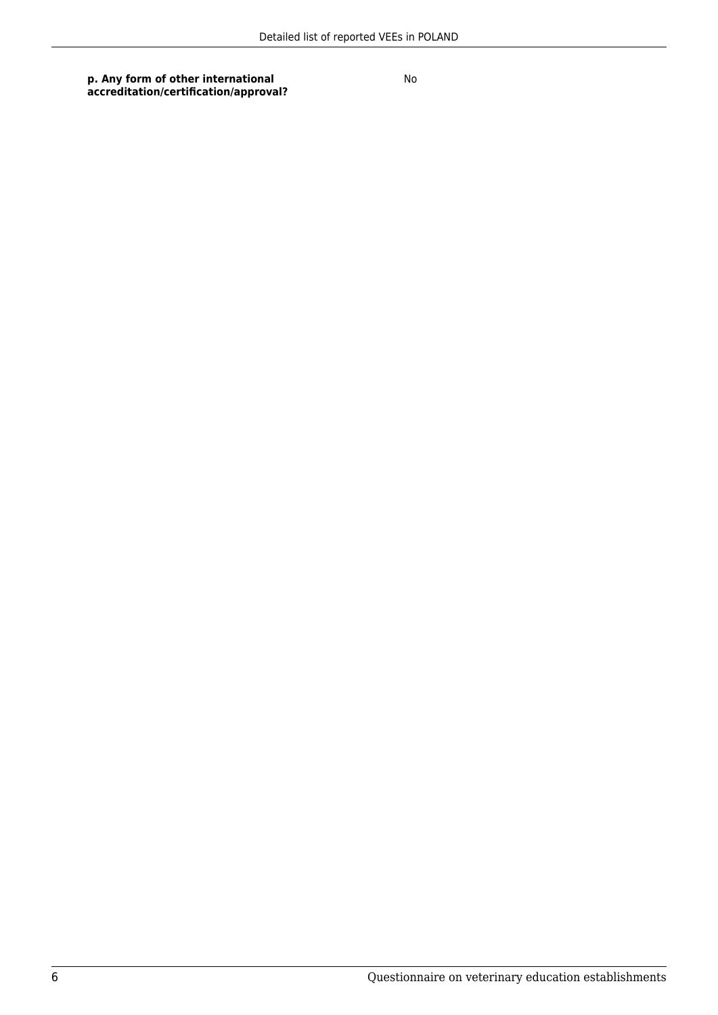**p. Any form of other international accreditation/certification/approval?**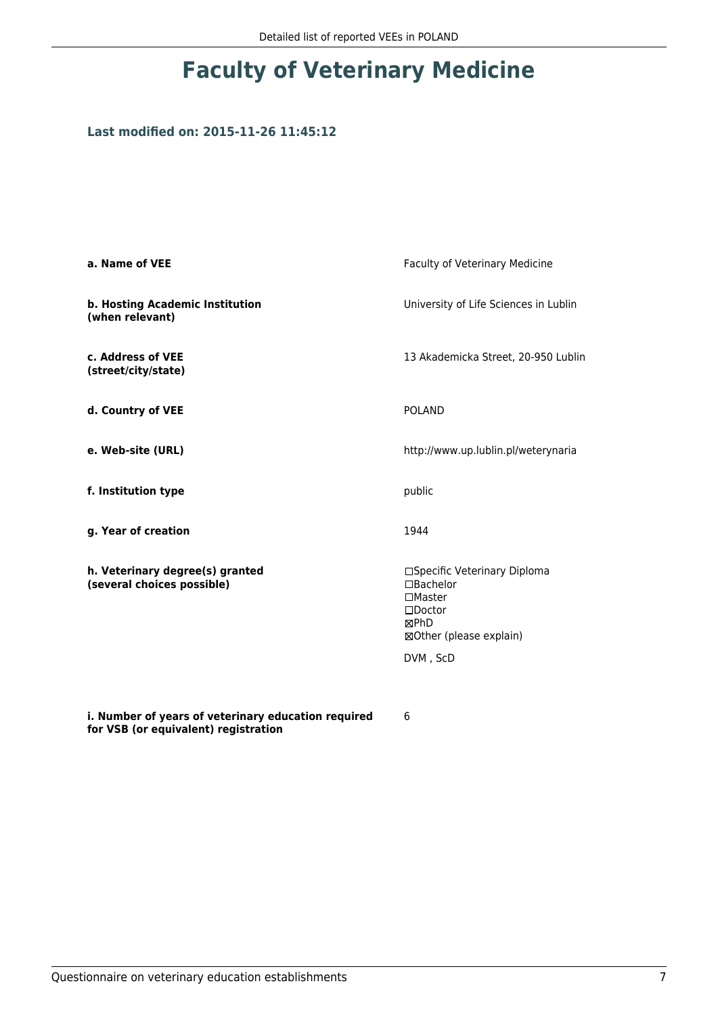### **Last modified on: 2015-11-26 11:45:12**

| a. Name of VEE                                                                              | Faculty of Veterinary Medicine                                                                                       |
|---------------------------------------------------------------------------------------------|----------------------------------------------------------------------------------------------------------------------|
| b. Hosting Academic Institution<br>(when relevant)                                          | University of Life Sciences in Lublin                                                                                |
| c. Address of VEE<br>(street/city/state)                                                    | 13 Akademicka Street, 20-950 Lublin                                                                                  |
| d. Country of VEE                                                                           | <b>POLAND</b>                                                                                                        |
| e. Web-site (URL)                                                                           | http://www.up.lublin.pl/weterynaria                                                                                  |
| f. Institution type                                                                         | public                                                                                                               |
| g. Year of creation                                                                         | 1944                                                                                                                 |
| h. Veterinary degree(s) granted<br>(several choices possible)                               | □Specific Veterinary Diploma<br>□Bachelor<br>$\square$ Master<br>$\square$ Doctor<br>⊠PhD<br>⊠Other (please explain) |
|                                                                                             | DVM, ScD                                                                                                             |
| i. Number of years of veterinary education required<br>for VSB (or equivalent) registration | 6                                                                                                                    |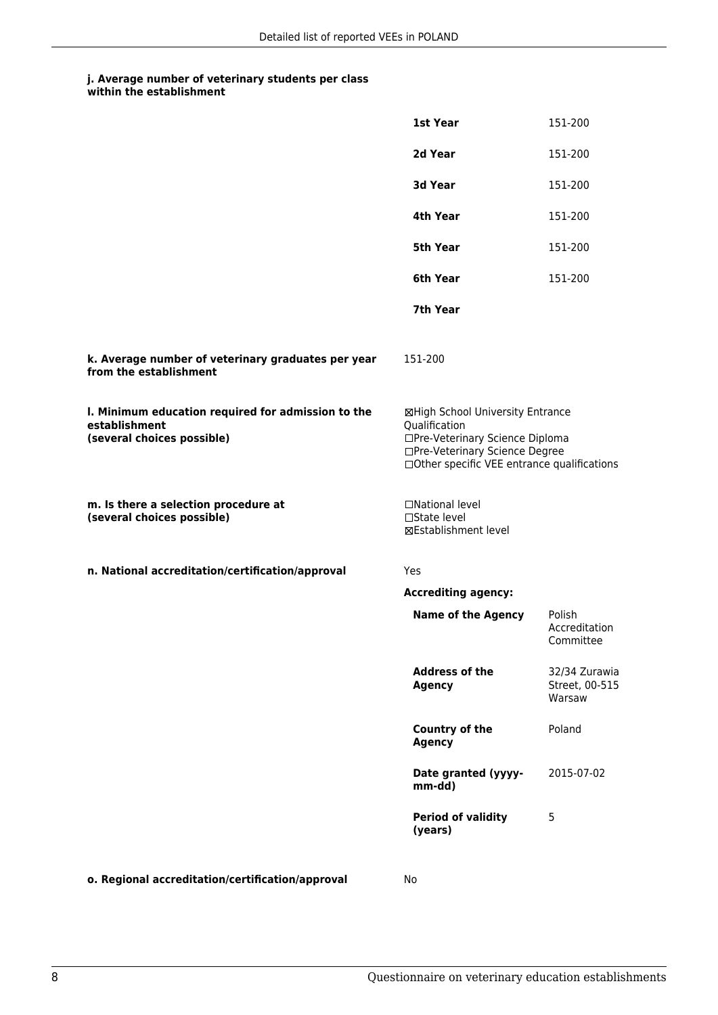| within the establishment |
|--------------------------|
|                          |

|                                                                                                   | 1st Year                                                                                                                                                              | 151-200                                   |
|---------------------------------------------------------------------------------------------------|-----------------------------------------------------------------------------------------------------------------------------------------------------------------------|-------------------------------------------|
|                                                                                                   | 2d Year                                                                                                                                                               | 151-200                                   |
|                                                                                                   | 3d Year                                                                                                                                                               | 151-200                                   |
|                                                                                                   | 4th Year                                                                                                                                                              | 151-200                                   |
|                                                                                                   | 5th Year                                                                                                                                                              | 151-200                                   |
|                                                                                                   | 6th Year                                                                                                                                                              | 151-200                                   |
|                                                                                                   | 7th Year                                                                                                                                                              |                                           |
| k. Average number of veterinary graduates per year<br>from the establishment                      | 151-200                                                                                                                                                               |                                           |
| I. Minimum education required for admission to the<br>establishment<br>(several choices possible) | ⊠High School University Entrance<br>Qualification<br>□Pre-Veterinary Science Diploma<br>□Pre-Veterinary Science Degree<br>□Other specific VEE entrance qualifications |                                           |
| m. Is there a selection procedure at<br>(several choices possible)                                | □National level<br>□State level<br><b>⊠Establishment level</b>                                                                                                        |                                           |
| n. National accreditation/certification/approval                                                  | Yes                                                                                                                                                                   |                                           |
|                                                                                                   | <b>Accrediting agency:</b>                                                                                                                                            |                                           |
|                                                                                                   | <b>Name of the Agency</b>                                                                                                                                             | Polish<br>Accreditation<br>Committee      |
|                                                                                                   | <b>Address of the</b><br><b>Agency</b>                                                                                                                                | 32/34 Zurawia<br>Street, 00-515<br>Warsaw |
|                                                                                                   | Country of the<br><b>Agency</b>                                                                                                                                       | Poland                                    |
|                                                                                                   | Date granted (yyyy-<br>mm-dd)                                                                                                                                         | 2015-07-02                                |
|                                                                                                   | <b>Period of validity</b><br>(years)                                                                                                                                  | 5                                         |
| o. Regional accreditation/certification/approval                                                  | No                                                                                                                                                                    |                                           |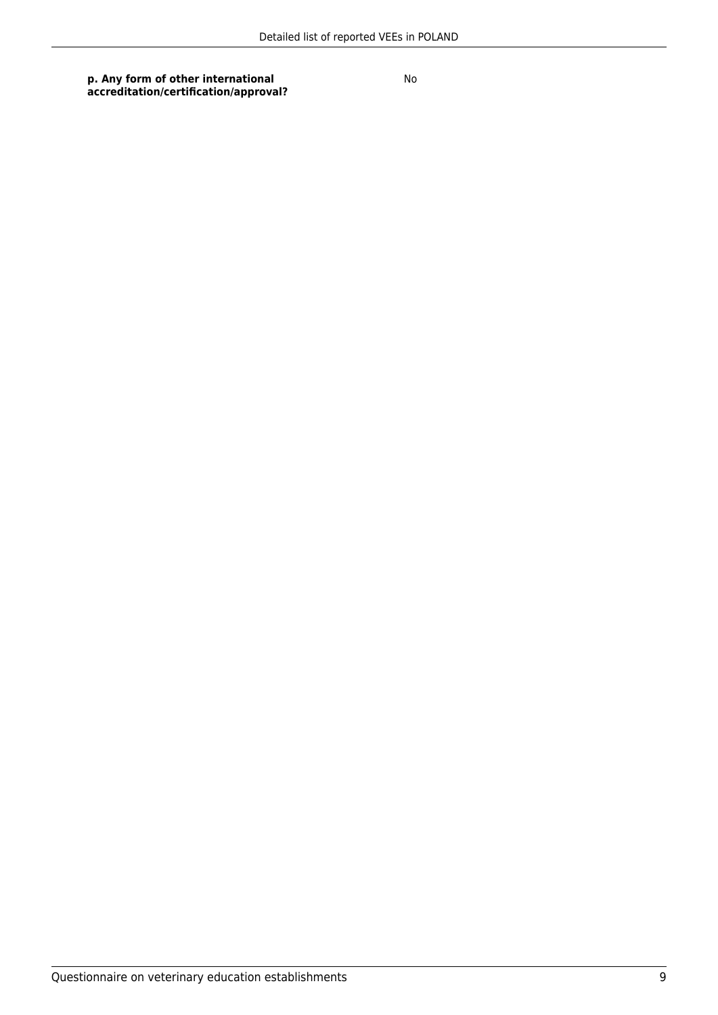**p. Any form of other international accreditation/certification/approval?**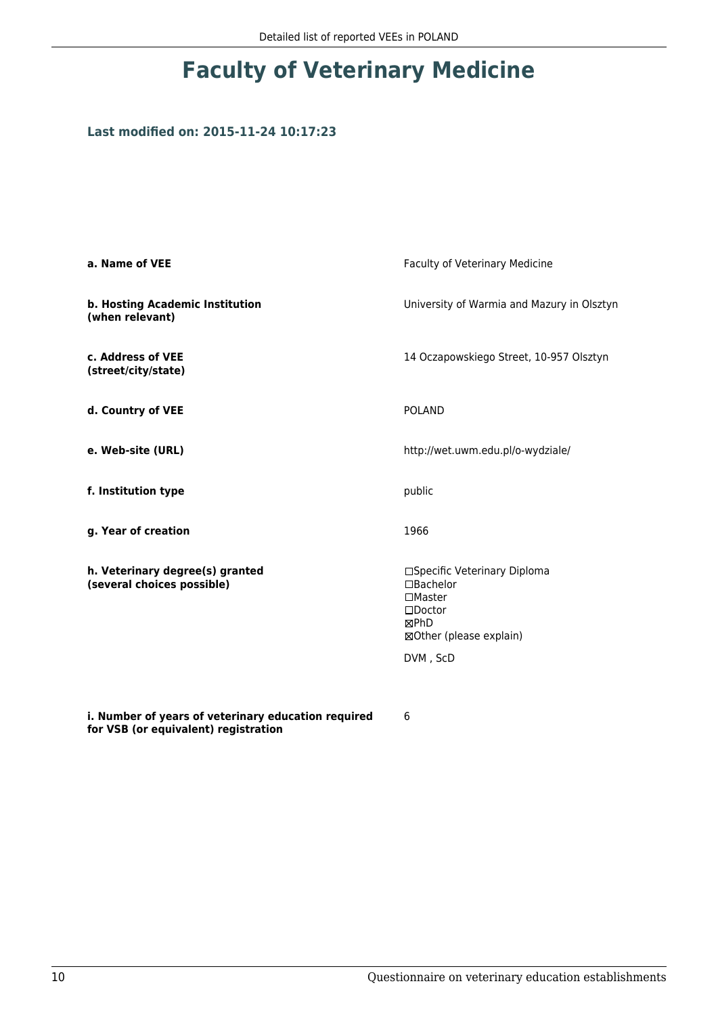### **Last modified on: 2015-11-24 10:17:23**

| a. Name of VEE                                                                              | Faculty of Veterinary Medicine                                                                                             |
|---------------------------------------------------------------------------------------------|----------------------------------------------------------------------------------------------------------------------------|
| b. Hosting Academic Institution<br>(when relevant)                                          | University of Warmia and Mazury in Olsztyn                                                                                 |
| c. Address of VEE<br>(street/city/state)                                                    | 14 Oczapowskiego Street, 10-957 Olsztyn                                                                                    |
| d. Country of VEE                                                                           | <b>POLAND</b>                                                                                                              |
| e. Web-site (URL)                                                                           | http://wet.uwm.edu.pl/o-wydziale/                                                                                          |
| f. Institution type                                                                         | public                                                                                                                     |
| g. Year of creation                                                                         | 1966                                                                                                                       |
| h. Veterinary degree(s) granted<br>(several choices possible)                               | □Specific Veterinary Diploma<br>$\Box$ Bachelor<br>$\square$ Master<br>$\square$ Doctor<br>⊠PhD<br>⊠Other (please explain) |
|                                                                                             | DVM, ScD                                                                                                                   |
|                                                                                             |                                                                                                                            |
| i. Number of years of veterinary education required<br>for VSB (or equivalent) registration | 6                                                                                                                          |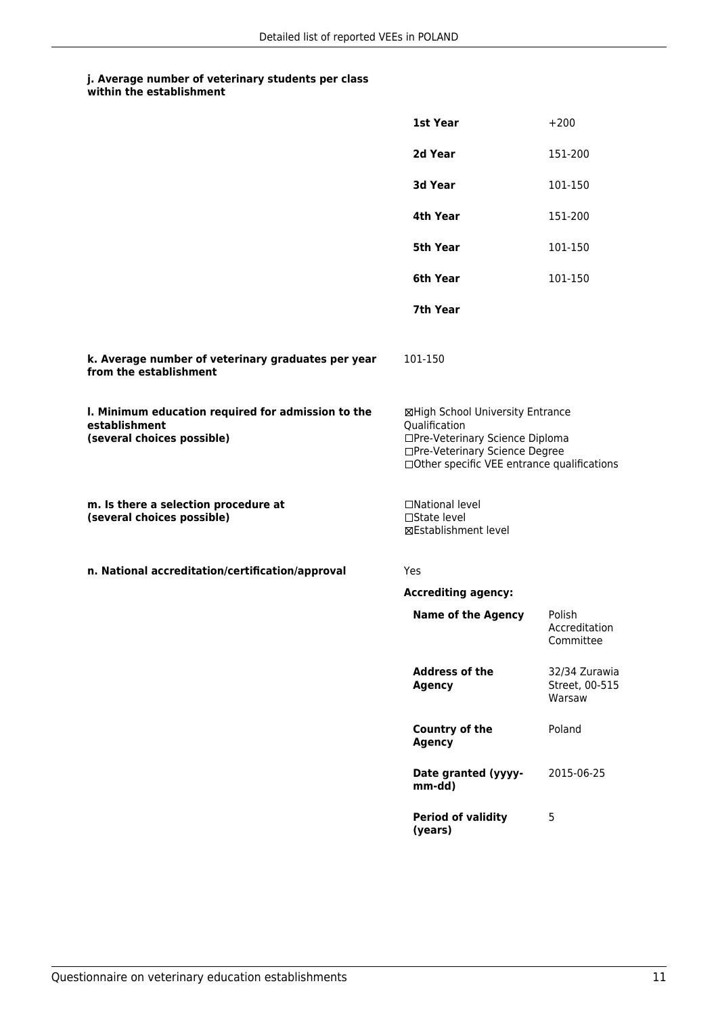| within the establishment |
|--------------------------|
|                          |

|                                                                                                   | 1st Year                                                                                                                                                              | $+200$                                    |
|---------------------------------------------------------------------------------------------------|-----------------------------------------------------------------------------------------------------------------------------------------------------------------------|-------------------------------------------|
|                                                                                                   | 2d Year                                                                                                                                                               | 151-200                                   |
|                                                                                                   | 3d Year                                                                                                                                                               | 101-150                                   |
|                                                                                                   | 4th Year                                                                                                                                                              | 151-200                                   |
|                                                                                                   | 5th Year                                                                                                                                                              | 101-150                                   |
|                                                                                                   | 6th Year                                                                                                                                                              | 101-150                                   |
|                                                                                                   | 7th Year                                                                                                                                                              |                                           |
| k. Average number of veterinary graduates per year<br>from the establishment                      | 101-150                                                                                                                                                               |                                           |
| I. Minimum education required for admission to the<br>establishment<br>(several choices possible) | ⊠High School University Entrance<br>Qualification<br>□Pre-Veterinary Science Diploma<br>□Pre-Veterinary Science Degree<br>□Other specific VEE entrance qualifications |                                           |
| m. Is there a selection procedure at<br>(several choices possible)                                | □National level<br>□State level<br><b>⊠Establishment level</b>                                                                                                        |                                           |
| n. National accreditation/certification/approval                                                  | Yes                                                                                                                                                                   |                                           |
|                                                                                                   | <b>Accrediting agency:</b>                                                                                                                                            |                                           |
|                                                                                                   | <b>Name of the Agency</b>                                                                                                                                             | Polish<br>Accreditation<br>Committee      |
|                                                                                                   | <b>Address of the</b><br><b>Agency</b>                                                                                                                                | 32/34 Zurawia<br>Street, 00-515<br>Warsaw |
|                                                                                                   | Country of the<br><b>Agency</b>                                                                                                                                       | Poland                                    |
|                                                                                                   | Date granted (yyyy-<br>mm-dd)                                                                                                                                         | 2015-06-25                                |
|                                                                                                   | <b>Period of validity</b><br>(years)                                                                                                                                  | 5                                         |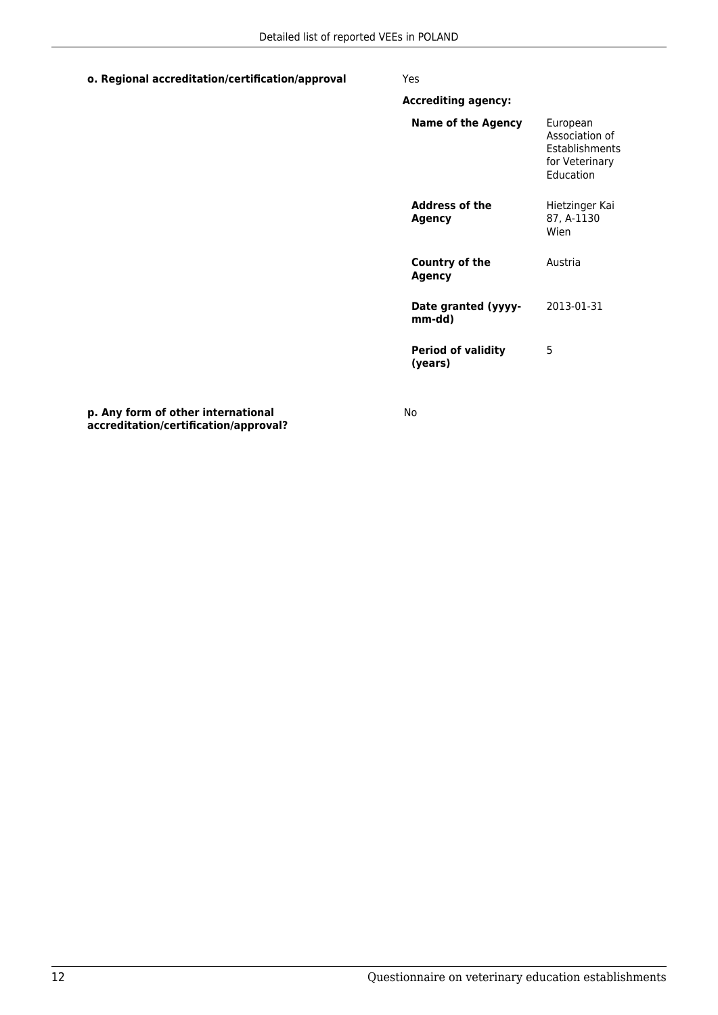#### **o. Regional accreditation/certification/approval** Yes

| <b>Accrediting agency:</b>           |                                                                                           |
|--------------------------------------|-------------------------------------------------------------------------------------------|
| Name of the Agency                   | European<br>Association of<br><b>Fstablishments</b><br>for Veterinary<br><b>Education</b> |
| <b>Address of the</b><br>Agency      | Hietzinger Kai<br>87, A-1130<br>Wien                                                      |
| <b>Country of the</b><br>Agency      | Austria                                                                                   |
| Date granted (yyyy-<br>mm-dd)        | 2013-01-31                                                                                |
| <b>Period of validity</b><br>(years) | 5                                                                                         |

**p. Any form of other international accreditation/certification/approval?**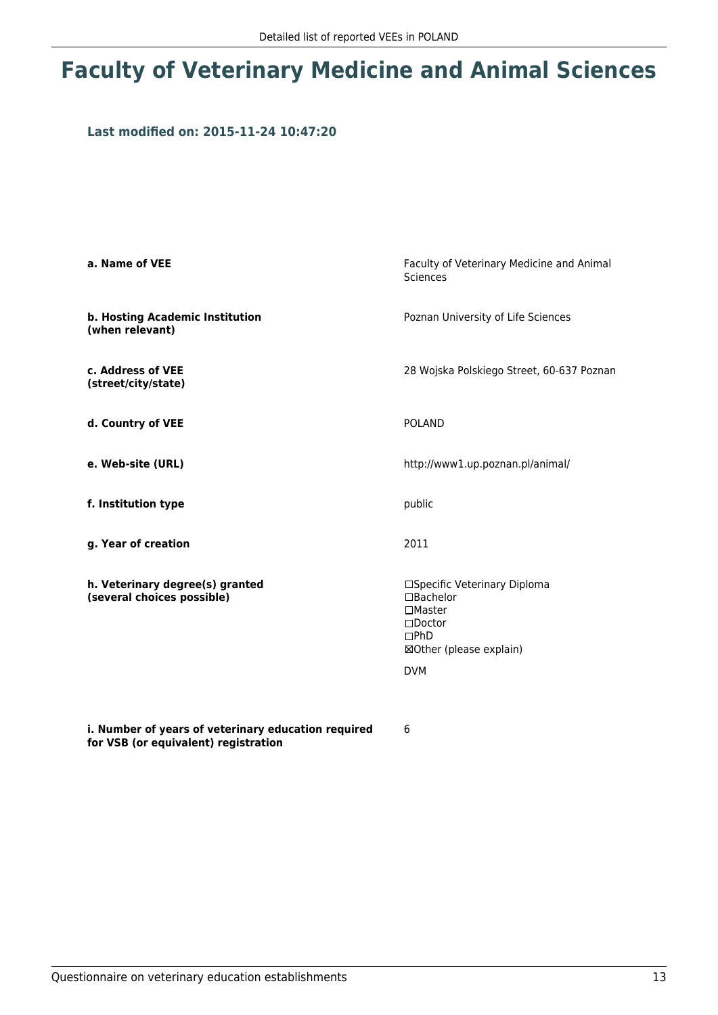# **Faculty of Veterinary Medicine and Animal Sciences**

#### **Last modified on: 2015-11-24 10:47:20**

| a. Name of VEE                                                | Faculty of Veterinary Medicine and Animal<br>Sciences                                                                                 |  |
|---------------------------------------------------------------|---------------------------------------------------------------------------------------------------------------------------------------|--|
| b. Hosting Academic Institution<br>(when relevant)            | Poznan University of Life Sciences                                                                                                    |  |
| c. Address of VEE<br>(street/city/state)                      | 28 Wojska Polskiego Street, 60-637 Poznan                                                                                             |  |
| d. Country of VEE                                             | <b>POLAND</b>                                                                                                                         |  |
| e. Web-site (URL)                                             | http://www1.up.poznan.pl/animal/                                                                                                      |  |
| f. Institution type                                           | public                                                                                                                                |  |
| g. Year of creation                                           | 2011                                                                                                                                  |  |
| h. Veterinary degree(s) granted<br>(several choices possible) | □Specific Veterinary Diploma<br>$\Box$ Bachelor<br>$\Box$ Master<br>$\square$ Doctor<br>DPhD<br>⊠Other (please explain)<br><b>DVM</b> |  |

**i. Number of years of veterinary education required for VSB (or equivalent) registration**

6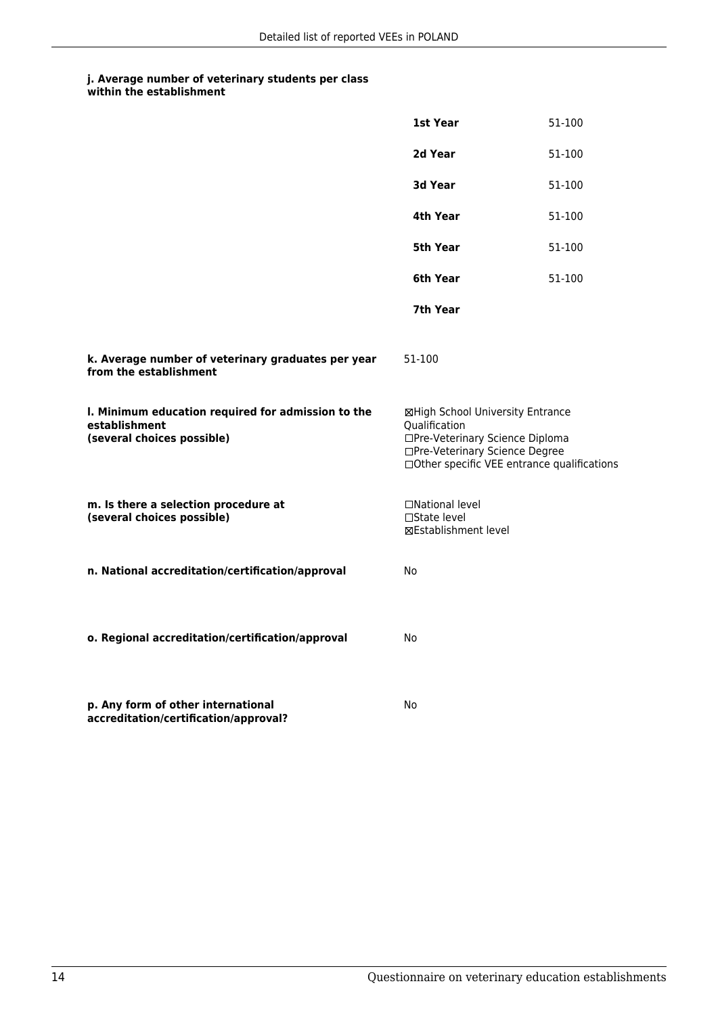|                                                                                                   | 1st Year                                                                                                                                                              | 51-100 |
|---------------------------------------------------------------------------------------------------|-----------------------------------------------------------------------------------------------------------------------------------------------------------------------|--------|
|                                                                                                   | 2d Year                                                                                                                                                               | 51-100 |
|                                                                                                   | 3d Year                                                                                                                                                               | 51-100 |
|                                                                                                   | 4th Year                                                                                                                                                              | 51-100 |
|                                                                                                   | 5th Year                                                                                                                                                              | 51-100 |
|                                                                                                   | 6th Year                                                                                                                                                              | 51-100 |
|                                                                                                   | 7th Year                                                                                                                                                              |        |
| k. Average number of veterinary graduates per year<br>from the establishment                      | 51-100                                                                                                                                                                |        |
| I. Minimum education required for admission to the<br>establishment<br>(several choices possible) | ⊠High School University Entrance<br>Oualification<br>□Pre-Veterinary Science Diploma<br>□Pre-Veterinary Science Degree<br>□Other specific VEE entrance qualifications |        |
| m. Is there a selection procedure at<br>(several choices possible)                                | □National level<br>□State level<br><b>⊠Establishment level</b>                                                                                                        |        |
| n. National accreditation/certification/approval                                                  | No                                                                                                                                                                    |        |
| o. Regional accreditation/certification/approval                                                  | No                                                                                                                                                                    |        |
| p. Any form of other international<br>accreditation/certification/approval?                       | No                                                                                                                                                                    |        |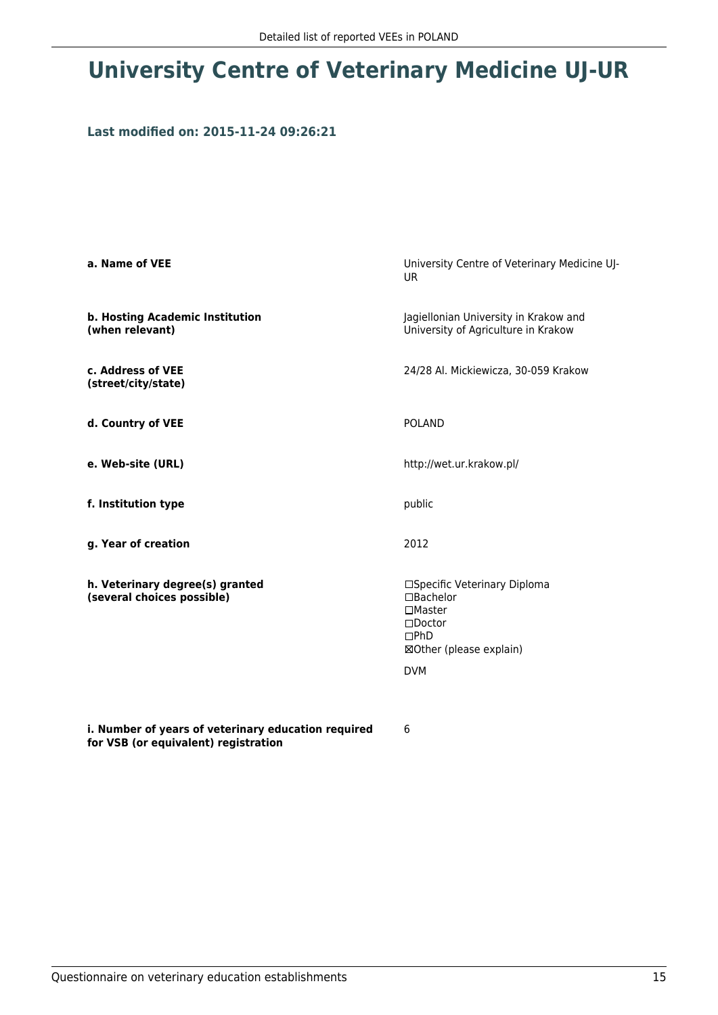# **University Centre of Veterinary Medicine UJ-UR**

#### **Last modified on: 2015-11-24 09:26:21**

| a. Name of VEE                                                | University Centre of Veterinary Medicine UJ-<br><b>UR</b>                                                                                   |
|---------------------------------------------------------------|---------------------------------------------------------------------------------------------------------------------------------------------|
| b. Hosting Academic Institution<br>(when relevant)            | Jagiellonian University in Krakow and<br>University of Agriculture in Krakow                                                                |
| c. Address of VEE<br>(street/city/state)                      | 24/28 Al. Mickiewicza, 30-059 Krakow                                                                                                        |
| d. Country of VEE                                             | <b>POLAND</b>                                                                                                                               |
| e. Web-site (URL)                                             | http://wet.ur.krakow.pl/                                                                                                                    |
| f. Institution type                                           | public                                                                                                                                      |
| g. Year of creation                                           | 2012                                                                                                                                        |
| h. Veterinary degree(s) granted<br>(several choices possible) | □Specific Veterinary Diploma<br>$\Box$ Bachelor<br>$\Box$ Master<br>$\square$ Doctor<br>$\Box$ PhD<br>⊠Other (please explain)<br><b>DVM</b> |

**i. Number of years of veterinary education required for VSB (or equivalent) registration**

6